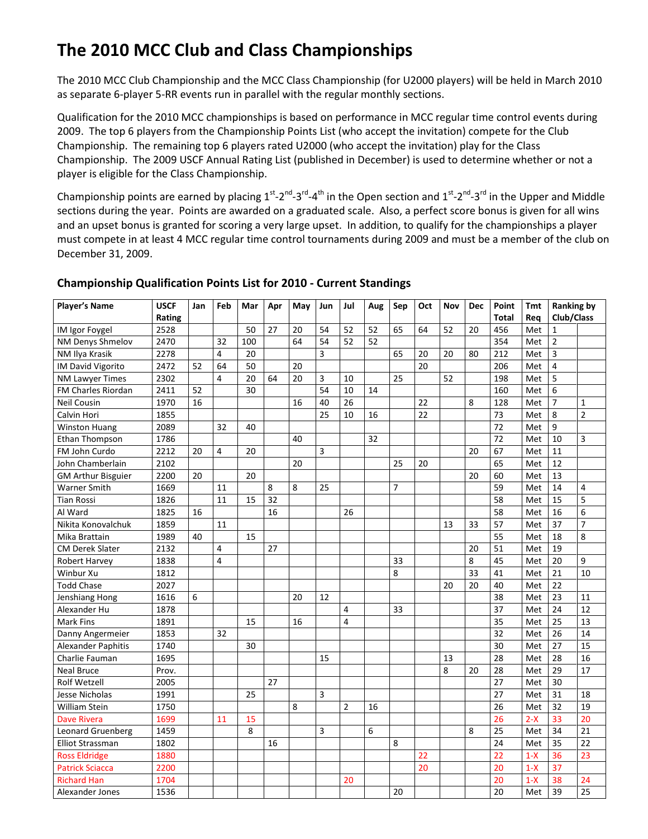# The 2010 MCC Club and Class Championships

The 2010 MCC Club Championship and the MCC Class Championship (for U2000 players) will be held in March 2010 as separate 6-player 5-RR events run in parallel with the regular monthly sections.

Qualification for the 2010 MCC championships is based on performance in MCC regular time control events during 2009. The top 6 players from the Championship Points List (who accept the invitation) compete for the Club Championship. The remaining top 6 players rated U2000 (who accept the invitation) play for the Class Championship. The 2009 USCF Annual Rating List (published in December) is used to determine whether or not a player is eligible for the Class Championship.

Championship points are earned by placing  $1^{st}$ - $2^{nd}$ - $3^{rd}$ - $4^{th}$  in the Open section and  $1^{st}$ - $2^{nd}$ - $3^{rd}$  in the Upper and Middle sections during the year. Points are awarded on a graduated scale. Also, a perfect score bonus is given for all wins and an upset bonus is granted for scoring a very large upset. In addition, to qualify for the championships a player must compete in at least 4 MCC regular time control tournaments during 2009 and must be a member of the club on December 31, 2009.

| <b>Player's Name</b>      | <b>USCF</b> | Jan | Feb            | Mar | Apr             | May | Jun | Jul            | Aug | Sep | Oct | Nov | <b>Dec</b> | Point        | <b>Ranking by</b><br>Tmt |                |                 |
|---------------------------|-------------|-----|----------------|-----|-----------------|-----|-----|----------------|-----|-----|-----|-----|------------|--------------|--------------------------|----------------|-----------------|
|                           | Rating      |     |                |     |                 |     |     |                |     |     |     |     |            | <b>Total</b> | Rea                      | Club/Class     |                 |
| IM Igor Foygel            | 2528        |     |                | 50  | 27              | 20  | 54  | 52             | 52  | 65  | 64  | 52  | 20         | 456          | Met                      | $\mathbf{1}$   |                 |
| <b>NM Denys Shmelov</b>   | 2470        |     | 32             | 100 |                 | 64  | 54  | 52             | 52  |     |     |     |            | 354          | Met                      | $\overline{2}$ |                 |
| NM Ilya Krasik            | 2278        |     | $\overline{4}$ | 20  |                 |     | 3   |                |     | 65  | 20  | 20  | 80         | 212          | Met                      | 3              |                 |
| IM David Vigorito         | 2472        | 52  | 64             | 50  |                 | 20  |     |                |     |     | 20  |     |            | 206          | Met                      | 4              |                 |
| <b>NM Lawyer Times</b>    | 2302        |     | $\overline{4}$ | 20  | 64              | 20  | 3   | 10             |     | 25  |     | 52  |            | 198          | Met                      | 5              |                 |
| FM Charles Riordan        | 2411        | 52  |                | 30  |                 |     | 54  | 10             | 14  |     |     |     |            | 160          | Met                      | 6              |                 |
| Neil Cousin               | 1970        | 16  |                |     |                 | 16  | 40  | 26             |     |     | 22  |     | 8          | 128          | Met                      | $\overline{7}$ | $\mathbf{1}$    |
| Calvin Hori               | 1855        |     |                |     |                 |     | 25  | 10             | 16  |     | 22  |     |            | 73           | Met                      | 8              | $\overline{2}$  |
| <b>Winston Huang</b>      | 2089        |     | 32             | 40  |                 |     |     |                |     |     |     |     |            | 72           | Met                      | 9              |                 |
| Ethan Thompson            | 1786        |     |                |     |                 | 40  |     |                | 32  |     |     |     |            | 72           | Met                      | 10             | 3               |
| FM John Curdo             | 2212        | 20  | $\overline{4}$ | 20  |                 |     | 3   |                |     |     |     |     | 20         | 67           | Met                      | 11             |                 |
| John Chamberlain          | 2102        |     |                |     |                 | 20  |     |                |     | 25  | 20  |     |            | 65           | Met                      | 12             |                 |
| <b>GM Arthur Bisguier</b> | 2200        | 20  |                | 20  |                 |     |     |                |     |     |     |     | 20         | 60           | Met                      | 13             |                 |
| Warner Smith              | 1669        |     | 11             |     | 8               | 8   | 25  |                |     | 7   |     |     |            | 59           | Met                      | 14             | 4               |
| <b>Tian Rossi</b>         | 1826        |     | 11             | 15  | 32              |     |     |                |     |     |     |     |            | 58           | Met                      | 15             | 5               |
| Al Ward                   | 1825        | 16  |                |     | $\overline{16}$ |     |     | 26             |     |     |     |     |            | 58           | Met                      | 16             | 6               |
| Nikita Konovalchuk        | 1859        |     | 11             |     |                 |     |     |                |     |     |     | 13  | 33         | 57           | Met                      | 37             | $\overline{7}$  |
| Mika Brattain             | 1989        | 40  |                | 15  |                 |     |     |                |     |     |     |     |            | 55           | Met                      | 18             | 8               |
| <b>CM Derek Slater</b>    | 2132        |     | 4              |     | 27              |     |     |                |     |     |     |     | 20         | 51           | Met                      | 19             |                 |
| <b>Robert Harvey</b>      | 1838        |     | 4              |     |                 |     |     |                |     | 33  |     |     | 8          | 45           | Met                      | 20             | 9               |
| Winbur Xu                 | 1812        |     |                |     |                 |     |     |                |     | 8   |     |     | 33         | 41           | Met                      | 21             | 10              |
| <b>Todd Chase</b>         | 2027        |     |                |     |                 |     |     |                |     |     |     | 20  | 20         | 40           | Met                      | 22             |                 |
| Jenshiang Hong            | 1616        | 6   |                |     |                 | 20  | 12  |                |     |     |     |     |            | 38           | Met                      | 23             | 11              |
| Alexander Hu              | 1878        |     |                |     |                 |     |     | 4              |     | 33  |     |     |            | 37           | Met                      | 24             | 12              |
| Mark Fins                 | 1891        |     |                | 15  |                 | 16  |     | 4              |     |     |     |     |            | 35           | Met                      | 25             | 13              |
| Danny Angermeier          | 1853        |     | 32             |     |                 |     |     |                |     |     |     |     |            | 32           | Met                      | 26             | 14              |
| Alexander Paphitis        | 1740        |     |                | 30  |                 |     |     |                |     |     |     |     |            | 30           | Met                      | 27             | 15              |
| Charlie Fauman            | 1695        |     |                |     |                 |     | 15  |                |     |     |     | 13  |            | 28           | Met                      | 28             | 16              |
| <b>Neal Bruce</b>         | Prov.       |     |                |     |                 |     |     |                |     |     |     | 8   | 20         | 28           | Met                      | 29             | 17              |
| <b>Rolf Wetzell</b>       | 2005        |     |                |     | 27              |     |     |                |     |     |     |     |            | 27           | Met                      | 30             |                 |
| Jesse Nicholas            | 1991        |     |                | 25  |                 |     | 3   |                |     |     |     |     |            | 27           | Met                      | 31             | 18              |
| William Stein             | 1750        |     |                |     |                 | 8   |     | $\overline{2}$ | 16  |     |     |     |            | 26           | Met                      | 32             | 19              |
| <b>Dave Rivera</b>        | 1699        |     | 11             | 15  |                 |     |     |                |     |     |     |     |            | 26           | $2-X$                    | 33             | $\overline{20}$ |
| <b>Leonard Gruenberg</b>  | 1459        |     |                | 8   |                 |     | 3   |                | 6   |     |     |     | 8          | 25           | Met                      | 34             | 21              |
| <b>Elliot Strassman</b>   | 1802        |     |                |     | 16              |     |     |                |     | 8   |     |     |            | 24           | Met                      | 35             | 22              |
| <b>Ross Eldridge</b>      | 1880        |     |                |     |                 |     |     |                |     |     | 22  |     |            | 22           | $1-X$                    | 36             | 23              |
| <b>Patrick Sciacca</b>    | 2200        |     |                |     |                 |     |     |                |     |     | 20  |     |            | 20           | $1-X$                    | 37             |                 |
| <b>Richard Han</b>        | 1704        |     |                |     |                 |     |     | 20             |     |     |     |     |            | 20           | $1-X$                    | 38             | 24              |
| Alexander Jones           | 1536        |     |                |     |                 |     |     |                |     | 20  |     |     |            | 20           | Met                      | 39             | 25              |

### Championship Qualification Points List for 2010 - Current Standings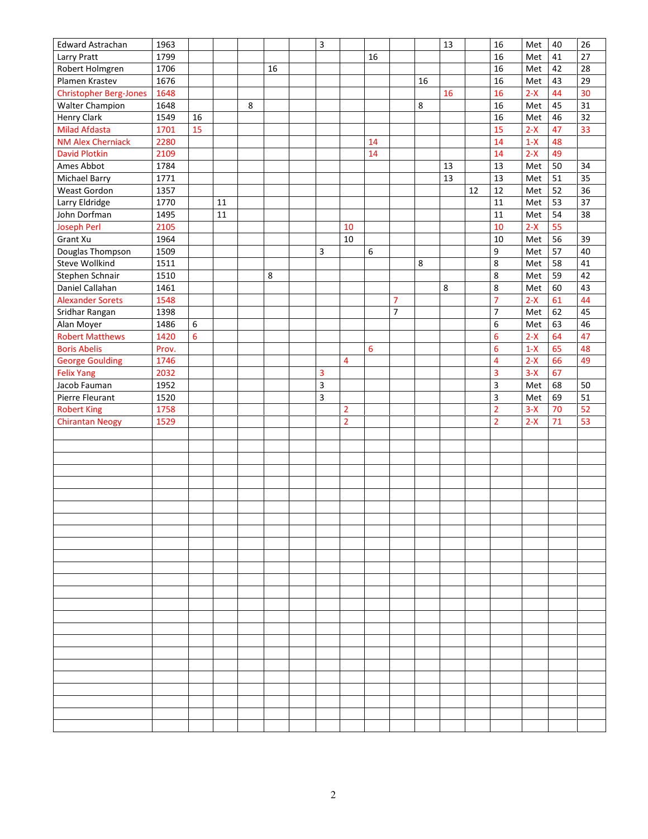| Edward Astrachan                   | 1963  |    |        |   |    | $\overline{\mathbf{3}}$ |                |                 |                |    | 13      |    | 16                      | Met   | 40              | 26              |
|------------------------------------|-------|----|--------|---|----|-------------------------|----------------|-----------------|----------------|----|---------|----|-------------------------|-------|-----------------|-----------------|
| Larry Pratt                        | 1799  |    |        |   |    |                         |                | 16              |                |    |         |    | 16                      | Met   | 41              | 27              |
| Robert Holmgren                    | 1706  |    |        |   | 16 |                         |                |                 |                |    |         |    | 16                      | Met   | 42              | 28              |
| Plamen Krastev                     | 1676  |    |        |   |    |                         |                |                 |                | 16 |         |    | 16                      | Met   | 43              | 29              |
| <b>Christopher Berg-Jones</b>      | 1648  |    |        |   |    |                         |                |                 |                |    | 16      |    | 16                      | $2-X$ | 44              | 30              |
| <b>Walter Champion</b>             | 1648  |    |        | 8 |    |                         |                |                 |                | 8  |         |    | 16                      | Met   | 45              | 31              |
| Henry Clark                        | 1549  | 16 |        |   |    |                         |                |                 |                |    |         |    | 16                      | Met   | 46              | 32              |
| <b>Milad Afdasta</b>               | 1701  | 15 |        |   |    |                         |                |                 |                |    |         |    | 15                      | $2-X$ | 47              | 33 <sup>1</sup> |
| <b>NM Alex Cherniack</b>           | 2280  |    |        |   |    |                         |                | 14              |                |    |         |    | 14                      | $1-X$ | 48              |                 |
| <b>David Plotkin</b>               | 2109  |    |        |   |    |                         |                | 14              |                |    |         |    | 14                      | $2-X$ | 49              |                 |
| Ames Abbot                         | 1784  |    |        |   |    |                         |                |                 |                |    | 13      |    | 13                      | Met   | 50              | 34              |
| <b>Michael Barry</b>               | 1771  |    |        |   |    |                         |                |                 |                |    | 13      |    | 13                      | Met   | 51              | 35              |
| Weast Gordon                       | 1357  |    |        |   |    |                         |                |                 |                |    |         | 12 | 12                      | Met   | 52              | 36              |
| Larry Eldridge                     | 1770  |    | 11     |   |    |                         |                |                 |                |    |         |    | 11                      | Met   | 53              | 37              |
| John Dorfman                       | 1495  |    | $11\,$ |   |    |                         |                |                 |                |    |         |    | 11                      | Met   | 54              | 38              |
| <b>Joseph Perl</b>                 | 2105  |    |        |   |    |                         | 10             |                 |                |    |         |    | 10                      | $2-X$ | 55              |                 |
| Grant Xu                           | 1964  |    |        |   |    |                         | 10             |                 |                |    |         |    | 10                      | Met   | 56              | 39              |
|                                    | 1509  |    |        |   |    |                         |                | $\,6$           |                |    |         |    | 9                       |       | 57              | 40              |
| Douglas Thompson<br>Steve Wollkind | 1511  |    |        |   |    | 3                       |                |                 |                | 8  |         |    | 8                       | Met   | 58              | 41              |
|                                    |       |    |        |   |    |                         |                |                 |                |    |         |    |                         | Met   | 59              |                 |
| Stephen Schnair                    | 1510  |    |        |   | 8  |                         |                |                 |                |    | $\,8\,$ |    | 8                       | Met   |                 | 42              |
| Daniel Callahan                    | 1461  |    |        |   |    |                         |                |                 |                |    |         |    | 8                       | Met   | 60              | 43              |
| <b>Alexander Sorets</b>            | 1548  |    |        |   |    |                         |                |                 | $\overline{7}$ |    |         |    | $\overline{7}$          | $2-X$ | 61              | 44              |
| Sridhar Rangan                     | 1398  |    |        |   |    |                         |                |                 | $\overline{7}$ |    |         |    | 7                       | Met   | 62              | 45              |
| Alan Moyer                         | 1486  | 6  |        |   |    |                         |                |                 |                |    |         |    | 6                       | Met   | 63              | 46              |
| <b>Robert Matthews</b>             | 1420  | 6  |        |   |    |                         |                |                 |                |    |         |    | $6\,$                   | $2-X$ | 64              | 47              |
| <b>Boris Abelis</b>                | Prov. |    |        |   |    |                         |                | $6\phantom{1}6$ |                |    |         |    | $6\,$                   | $1-X$ | 65              | 48              |
| <b>George Goulding</b>             | 1746  |    |        |   |    |                         | 4              |                 |                |    |         |    | $\overline{\mathbf{4}}$ | $2-X$ | 66              | 49              |
| <b>Felix Yang</b>                  | 2032  |    |        |   |    | 3                       |                |                 |                |    |         |    | 3                       | $3-X$ | 67              |                 |
| Jacob Fauman                       | 1952  |    |        |   |    | $\mathsf 3$             |                |                 |                |    |         |    | $\overline{\mathbf{3}}$ | Met   | 68              | 50              |
| Pierre Fleurant                    | 1520  |    |        |   |    | 3                       |                |                 |                |    |         |    | $\overline{\mathbf{3}}$ | Met   | 69              | 51              |
| <b>Robert King</b>                 | 1758  |    |        |   |    |                         | $\overline{2}$ |                 |                |    |         |    | $\overline{2}$          | $3-X$ | 70              | 52              |
| <b>Chirantan Neogy</b>             | 1529  |    |        |   |    |                         | $\overline{2}$ |                 |                |    |         |    | $\overline{2}$          | $2-X$ | $\overline{71}$ | 53              |
|                                    |       |    |        |   |    |                         |                |                 |                |    |         |    |                         |       |                 |                 |
|                                    |       |    |        |   |    |                         |                |                 |                |    |         |    |                         |       |                 |                 |
|                                    |       |    |        |   |    |                         |                |                 |                |    |         |    |                         |       |                 |                 |
|                                    |       |    |        |   |    |                         |                |                 |                |    |         |    |                         |       |                 |                 |
|                                    |       |    |        |   |    |                         |                |                 |                |    |         |    |                         |       |                 |                 |
|                                    |       |    |        |   |    |                         |                |                 |                |    |         |    |                         |       |                 |                 |
|                                    |       |    |        |   |    |                         |                |                 |                |    |         |    |                         |       |                 |                 |
|                                    |       |    |        |   |    |                         |                |                 |                |    |         |    |                         |       |                 |                 |
|                                    |       |    |        |   |    |                         |                |                 |                |    |         |    |                         |       |                 |                 |
|                                    |       |    |        |   |    |                         |                |                 |                |    |         |    |                         |       |                 |                 |
|                                    |       |    |        |   |    |                         |                |                 |                |    |         |    |                         |       |                 |                 |
|                                    |       |    |        |   |    |                         |                |                 |                |    |         |    |                         |       |                 |                 |
|                                    |       |    |        |   |    |                         |                |                 |                |    |         |    |                         |       |                 |                 |
|                                    |       |    |        |   |    |                         |                |                 |                |    |         |    |                         |       |                 |                 |
|                                    |       |    |        |   |    |                         |                |                 |                |    |         |    |                         |       |                 |                 |
|                                    |       |    |        |   |    |                         |                |                 |                |    |         |    |                         |       |                 |                 |
|                                    |       |    |        |   |    |                         |                |                 |                |    |         |    |                         |       |                 |                 |
|                                    |       |    |        |   |    |                         |                |                 |                |    |         |    |                         |       |                 |                 |
|                                    |       |    |        |   |    |                         |                |                 |                |    |         |    |                         |       |                 |                 |
|                                    |       |    |        |   |    |                         |                |                 |                |    |         |    |                         |       |                 |                 |
|                                    |       |    |        |   |    |                         |                |                 |                |    |         |    |                         |       |                 |                 |
|                                    |       |    |        |   |    |                         |                |                 |                |    |         |    |                         |       |                 |                 |
|                                    |       |    |        |   |    |                         |                |                 |                |    |         |    |                         |       |                 |                 |
|                                    |       |    |        |   |    |                         |                |                 |                |    |         |    |                         |       |                 |                 |
|                                    |       |    |        |   |    |                         |                |                 |                |    |         |    |                         |       |                 |                 |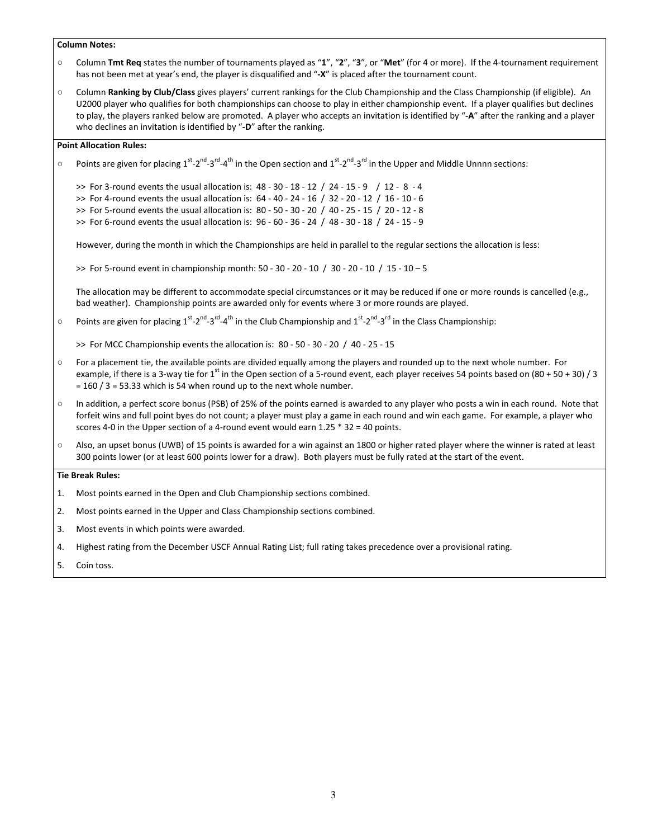#### Column Notes:

- Column Tmt Req states the number of tournaments played as "1", "2", "3", or "Met" (for 4 or more). If the 4-tournament requirement has not been met at year's end, the player is disqualified and "-X" is placed after the tournament count.
- Column Ranking by Club/Class gives players' current rankings for the Club Championship and the Class Championship (if eligible). An U2000 player who qualifies for both championships can choose to play in either championship event. If a player qualifies but declines to play, the players ranked below are promoted. A player who accepts an invitation is identified by "-A" after the ranking and a player who declines an invitation is identified by "-D" after the ranking.

#### Point Allocation Rules:

- $\circ$  Points are given for placing 1<sup>st</sup>-2<sup>nd</sup>-3<sup>rd</sup>-4<sup>th</sup> in the Open section and 1<sup>st</sup>-2<sup>nd</sup>-3<sup>rd</sup> in the Upper and Middle Unnnn sections:
	- >> For 3-round events the usual allocation is: 48 30 18 12 / 24 15 9 / 12 8 4 >> For 4-round events the usual allocation is: 64 - 40 - 24 - 16 / 32 - 20 - 12 / 16 - 10 - 6
	- >> For 5-round events the usual allocation is: 80 50 30 20 / 40 25 15 / 20 12 8
	- >> For 6-round events the usual allocation is: 96 60 36 24 / 48 30 18 / 24 15 9

However, during the month in which the Championships are held in parallel to the regular sections the allocation is less:

>> For 5-round event in championship month: 50 - 30 - 20 - 10 / 30 - 20 - 10 / 15 - 10 – 5

The allocation may be different to accommodate special circumstances or it may be reduced if one or more rounds is cancelled (e.g., bad weather). Championship points are awarded only for events where 3 or more rounds are played.

 $\circ$  Points are given for placing 1st-2<sup>nd</sup>-3<sup>rd</sup>-4<sup>th</sup> in the Club Championship and 1st-2<sup>nd</sup>-3<sup>rd</sup> in the Class Championship:

>> For MCC Championship events the allocation is: 80 - 50 - 30 - 20 / 40 - 25 - 15

- For a placement tie, the available points are divided equally among the players and rounded up to the next whole number. For example, if there is a 3-way tie for 1<sup>st</sup> in the Open section of a 5-round event, each player receives 54 points based on (80 + 50 + 30) / 3  $= 160 / 3 = 53.33$  which is 54 when round up to the next whole number.
- In addition, a perfect score bonus (PSB) of 25% of the points earned is awarded to any player who posts a win in each round. Note that forfeit wins and full point byes do not count; a player must play a game in each round and win each game. For example, a player who scores 4-0 in the Upper section of a 4-round event would earn 1.25 \* 32 = 40 points.
- Also, an upset bonus (UWB) of 15 points is awarded for a win against an 1800 or higher rated player where the winner is rated at least 300 points lower (or at least 600 points lower for a draw). Both players must be fully rated at the start of the event.

#### Tie Break Rules:

- 1. Most points earned in the Open and Club Championship sections combined.
- 2. Most points earned in the Upper and Class Championship sections combined.
- 3. Most events in which points were awarded.
- 4. Highest rating from the December USCF Annual Rating List; full rating takes precedence over a provisional rating.
- 5. Coin toss.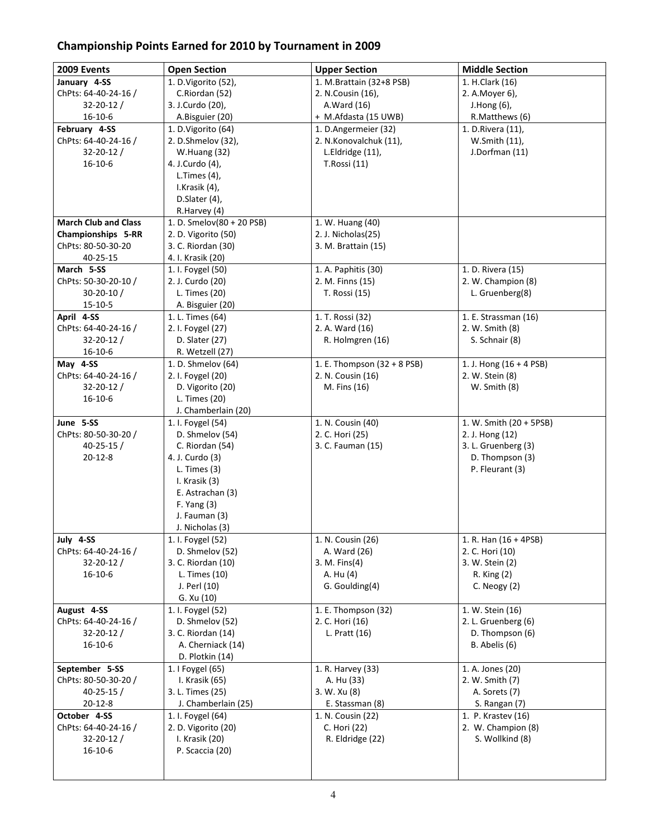## Championship Points Earned for 2010 by Tournament in 2009

| 2009 Events                 | <b>Open Section</b>              | <b>Upper Section</b>        | <b>Middle Section</b>     |  |  |  |
|-----------------------------|----------------------------------|-----------------------------|---------------------------|--|--|--|
| January 4-SS                | $\overline{1.}$ D.Vigorito (52), | 1. M.Brattain (32+8 PSB)    | 1. H.Clark (16)           |  |  |  |
| ChPts: 64-40-24-16 /        | C.Riordan (52)                   | 2. N.Cousin (16),           | 2. A. Moyer 6),           |  |  |  |
| $32 - 20 - 12 /$            | 3. J.Curdo (20),                 | A.Ward (16)                 | J.Hong (6),               |  |  |  |
| 16-10-6                     | A.Bisguier (20)                  | + M.Afdasta (15 UWB)        | R.Matthews (6)            |  |  |  |
| February 4-SS               | 1. D.Vigorito (64)               | 1. D.Angermeier (32)        | 1. D.Rivera (11),         |  |  |  |
| ChPts: 64-40-24-16 /        | 2. D.Shmelov (32),               | 2. N.Konovalchuk (11),      | W.Smith (11),             |  |  |  |
| $32 - 20 - 12/$             | W.Huang (32)                     | L.Eldridge (11),            | J.Dorfman (11)            |  |  |  |
| 16-10-6                     | 4. J.Curdo (4),                  | T.Rossi (11)                |                           |  |  |  |
|                             | L.Times $(4)$ ,                  |                             |                           |  |  |  |
|                             | I.Krasik (4),                    |                             |                           |  |  |  |
|                             | D.Slater (4),                    |                             |                           |  |  |  |
|                             | R.Harvey (4)                     |                             |                           |  |  |  |
| <b>March Club and Class</b> | 1. D. Smelov(80 + 20 PSB)        | 1. W. Huang (40)            |                           |  |  |  |
| <b>Championships 5-RR</b>   | 2. D. Vigorito (50)              | 2. J. Nicholas(25)          |                           |  |  |  |
| ChPts: 80-50-30-20          | 3. C. Riordan (30)               | 3. M. Brattain (15)         |                           |  |  |  |
| 40-25-15                    | 4. I. Krasik (20)                |                             |                           |  |  |  |
| March 5-SS                  | 1. I. Foygel (50)                | 1. A. Paphitis (30)         | 1. D. Rivera (15)         |  |  |  |
| ChPts: 50-30-20-10 /        | 2. J. Curdo (20)                 | 2. M. Finns (15)            | 2. W. Champion (8)        |  |  |  |
| $30 - 20 - 10/$             | L. Times (20)                    | T. Rossi (15)               | L. Gruenberg(8)           |  |  |  |
| 15-10-5                     | A. Bisguier (20)                 |                             |                           |  |  |  |
| April 4-SS                  | 1. L. Times (64)                 | 1. T. Rossi (32)            | 1. E. Strassman (16)      |  |  |  |
| ChPts: 64-40-24-16 /        | 2. I. Foygel (27)                | 2. A. Ward (16)             | 2. W. Smith (8)           |  |  |  |
| $32 - 20 - 12 /$            | D. Slater (27)                   | R. Holmgren (16)            | S. Schnair (8)            |  |  |  |
| $16-10-6$                   | R. Wetzell (27)                  |                             |                           |  |  |  |
| May 4-SS                    | 1. D. Shmelov (64)               | 1. E. Thompson (32 + 8 PSB) | 1. J. Hong $(16 + 4$ PSB) |  |  |  |
| ChPts: 64-40-24-16 /        | 2. I. Foygel (20)                | 2. N. Cousin (16)           | 2. W. Stein (8)           |  |  |  |
| $32 - 20 - 12/$             | D. Vigorito (20)                 | M. Fins (16)                | W. Smith (8)              |  |  |  |
| 16-10-6                     | L. Times (20)                    |                             |                           |  |  |  |
|                             | J. Chamberlain (20)              |                             |                           |  |  |  |
| June 5-SS                   | 1. I. Foygel (54)                | 1. N. Cousin (40)           | 1. W. Smith (20 + 5PSB)   |  |  |  |
| ChPts: 80-50-30-20 /        | D. Shmelov (54)                  | 2. C. Hori (25)             | 2. J. Hong (12)           |  |  |  |
| $40 - 25 - 15/$             | C. Riordan (54)                  | 3. C. Fauman (15)           | 3. L. Gruenberg (3)       |  |  |  |
| $20-12-8$                   | 4. J. Curdo (3)                  |                             | D. Thompson (3)           |  |  |  |
|                             | L. Times $(3)$                   |                             | P. Fleurant (3)           |  |  |  |
|                             | I. Krasik (3)                    |                             |                           |  |  |  |
|                             | E. Astrachan (3)                 |                             |                           |  |  |  |
|                             | $F.$ Yang $(3)$                  |                             |                           |  |  |  |
|                             | J. Fauman (3)                    |                             |                           |  |  |  |
|                             | J. Nicholas (3)                  |                             |                           |  |  |  |
| July 4-SS                   | 1. I. Foygel (52)                | 1. N. Cousin (26)           | 1. R. Han (16 + 4PSB)     |  |  |  |
| ChPts: 64-40-24-16 /        | D. Shmelov (52)                  | A. Ward (26)                | 2. C. Hori (10)           |  |  |  |
| $32 - 20 - 12$ /            | 3. C. Riordan (10)               | 3. M. Fins(4)               | 3. W. Stein (2)           |  |  |  |
| $16-10-6$                   | L. Times (10)                    | A. Hu (4)                   | R. King (2)               |  |  |  |
|                             | J. Perl (10)                     | G. Goulding(4)              | C. Neogy $(2)$            |  |  |  |
|                             | G. Xu (10)                       |                             |                           |  |  |  |
| August 4-SS                 | 1. I. Foygel (52)                | 1. E. Thompson (32)         | 1. W. Stein (16)          |  |  |  |
| ChPts: 64-40-24-16 /        | D. Shmelov (52)                  | 2. C. Hori (16)             | 2. L. Gruenberg (6)       |  |  |  |
| $32 - 20 - 12$ /            | 3. C. Riordan (14)               | L. Pratt (16)               | D. Thompson (6)           |  |  |  |
| $16-10-6$                   | A. Cherniack (14)                |                             | B. Abelis (6)             |  |  |  |
|                             | D. Plotkin (14)                  |                             |                           |  |  |  |
| September 5-SS              | 1. I Foygel (65)                 | 1. R. Harvey (33)           | 1. A. Jones (20)          |  |  |  |
| ChPts: 80-50-30-20 /        | I. Krasik (65)                   | A. Hu (33)                  | 2. W. Smith (7)           |  |  |  |
| $40 - 25 - 15/$             | 3. L. Times (25)                 | 3. W. Xu (8)                | A. Sorets (7)             |  |  |  |
| $20-12-8$                   | J. Chamberlain (25)              | E. Stassman (8)             | S. Rangan (7)             |  |  |  |
| October 4-SS                | 1. I. Foygel (64)                | 1. N. Cousin (22)           | 1. P. Krastev (16)        |  |  |  |
| ChPts: 64-40-24-16 /        | 2. D. Vigorito (20)              | C. Hori (22)                | 2. W. Champion (8)        |  |  |  |
| $32 - 20 - 12/$             | I. Krasik (20)                   | R. Eldridge (22)            | S. Wollkind (8)           |  |  |  |
| $16 - 10 - 6$               | P. Scaccia (20)                  |                             |                           |  |  |  |
|                             |                                  |                             |                           |  |  |  |
|                             |                                  |                             |                           |  |  |  |